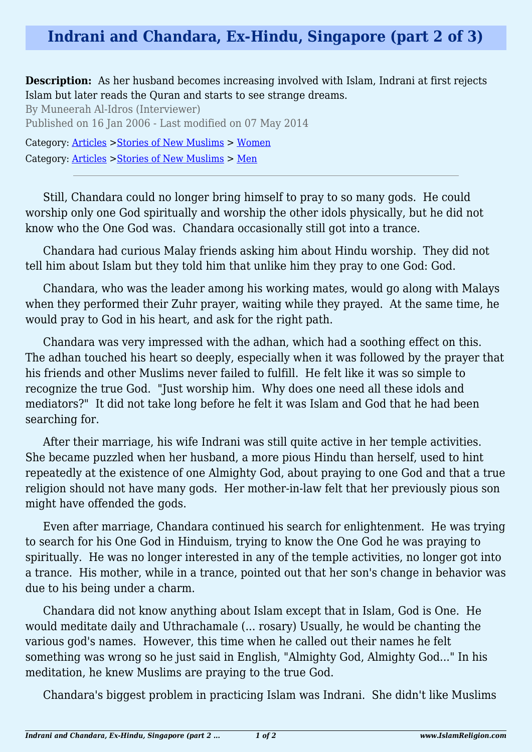## **Indrani and Chandara, Ex-Hindu, Singapore (part 2 of 3)**

**Description:** As her husband becomes increasing involved with Islam, Indrani at first rejects Islam but later reads the Quran and starts to see strange dreams.

By Muneerah Al-Idros (Interviewer) Published on 16 Jan 2006 - Last modified on 07 May 2014 Category: [Articles](http://www.islamreligion.com/articles/) >[Stories of New Muslims](http://www.islamreligion.com/category/63/) > [Women](http://www.islamreligion.com/category/65/) Category: [Articles](http://www.islamreligion.com/articles/) >[Stories of New Muslims](http://www.islamreligion.com/category/63/) > [Men](http://www.islamreligion.com/category/64/)

Still, Chandara could no longer bring himself to pray to so many gods. He could worship only one God spiritually and worship the other idols physically, but he did not know who the One God was. Chandara occasionally still got into a trance.

Chandara had curious Malay friends asking him about Hindu worship. They did not tell him about Islam but they told him that unlike him they pray to one God: God.

Chandara, who was the leader among his working mates, would go along with Malays when they performed their Zuhr prayer, waiting while they prayed. At the same time, he would pray to God in his heart, and ask for the right path.

Chandara was very impressed with the adhan, which had a soothing effect on this. The adhan touched his heart so deeply, especially when it was followed by the prayer that his friends and other Muslims never failed to fulfill. He felt like it was so simple to recognize the true God. "Just worship him. Why does one need all these idols and mediators?" It did not take long before he felt it was Islam and God that he had been searching for.

After their marriage, his wife Indrani was still quite active in her temple activities. She became puzzled when her husband, a more pious Hindu than herself, used to hint repeatedly at the existence of one Almighty God, about praying to one God and that a true religion should not have many gods. Her mother-in-law felt that her previously pious son might have offended the gods.

Even after marriage, Chandara continued his search for enlightenment. He was trying to search for his One God in Hinduism, trying to know the One God he was praying to spiritually. He was no longer interested in any of the temple activities, no longer got into a trance. His mother, while in a trance, pointed out that her son's change in behavior was due to his being under a charm.

Chandara did not know anything about Islam except that in Islam, God is One. He would meditate daily and Uthrachamale (... rosary) Usually, he would be chanting the various god's names. However, this time when he called out their names he felt something was wrong so he just said in English, "Almighty God, Almighty God..." In his meditation, he knew Muslims are praying to the true God.

Chandara's biggest problem in practicing Islam was Indrani. She didn't like Muslims